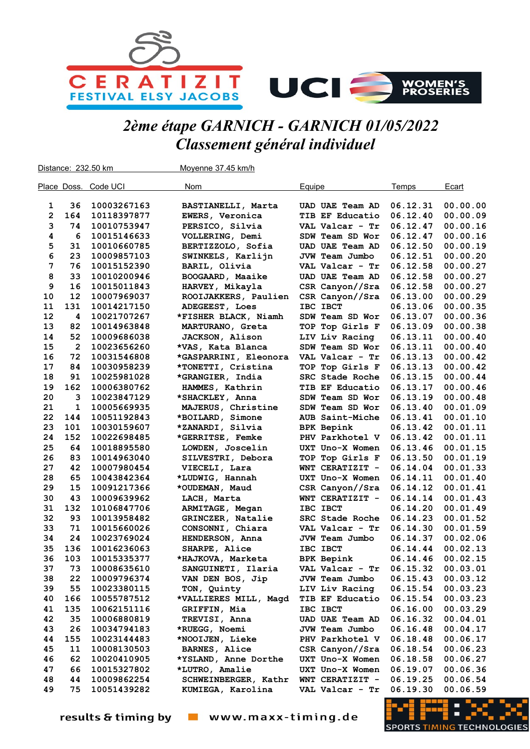

## 2ème étape GARNICH - GARNICH 01/05/2022 Classement général individuel

Distance: 232.50 km Moyenne 37.45 km/h Place Doss. Code UCI **Nom** Nom Bauipe **Contains Example Temps** Ecart 1 36 10003267163 BASTIANELLI, Marta UAD UAE Team AD 06.12.31 00.00.00 2 164 10118397877 EWERS, Veronica TIB EF Educatio 06.12.40 00.00.09 3 74 10010753947 PERSICO, Silvia VAL Valcar - Tr 06.12.47 00.00.16 4 6 10015146633 VOLLERING, Demi SDW Team SD Wor 06.12.47 00.00.16 5 31 10010660785 BERTIZZOLO, Sofia UAD UAE Team AD 06.12.50 00.00.19 6 23 10009857103 SWINKELS, Karlijn JVW Team Jumbo 06.12.51 00.00.20 7 76 10015152390 BARIL, Olivia VAL Valcar - Tr 06.12.58 00.00.27 8 33 10010200946 BOOGAARD, Maaike UAD UAE Team AD 06.12.58 00.00.27 9 16 10015011843 HARVEY, Mikayla CSR Canyon//Sra 06.12.58 00.00.27 10 12 10007969037 ROOIJAKKERS, Paulien CSR Canyon//Sra 06.13.00 00.00.29 11 131 10014217150 ADEGEEST, Loes IBC IBCT 06.13.06 00.00.35 12 4 10021707267 \*FISHER BLACK, Niamh SDW Team SD Wor 06.13.07 00.00.36 13 82 10014963848 MARTURANO, Greta TOP Top Girls F 06.13.09 00.00.38 14 52 10009686038 JACKSON, Alison LIV Liv Racing 06.13.11 00.00.40 15 2 10023656260 \*VAS, Kata Blanca SDW Team SD Wor 06.13.11 00.00.40 16 72 10031546808 \*GASPARRINI, Eleonora VAL Valcar - Tr 06.13.13 00.00.42 17 84 10030958239 \*TONETTI, Cristina TOP Top Girls F 06.13.13 00.00.42 18 91 10025981028 \*GRANGIER, India SRC Stade Roche 06.13.15 00.00.44 19 162 10006380762 HAMMES, Kathrin TIB EF Educatio 06.13.17 00.00.46 20 3 10023847129 \*SHACKLEY, Anna SDW Team SD Wor 06.13.19 00.00.48 21 1 10005669935 MAJERUS, Christine SDW Team SD Wor 06.13.40 00.01.09 22 144 10051192843 \*BOILARD, Simone AUB Saint-Miche 06.13.41 00.01.10 23 101 10030159607 \*ZANARDI, Silvia BPK Bepink 06.13.42 00.01.11 24 152 10022698485 \*GERRITSE, Femke PHV Parkhotel V 06.13.42 00.01.11 25 64 10018895580 LOWDEN, Joscelin UXT Uno-X Women 06.13.46 00.01.15 26 83 10014963040 SILVESTRI, Debora TOP Top Girls F 06.13.50 00.01.19 27 42 10007980454 VIECELI, Lara WNT CERATIZIT - 06.14.04 00.01.33 28 65 10043842364 \*LUDWIG, Hannah UXT Uno-X Women 06.14.11 00.01.40 29 15 10091217366 \*OUDEMAN, Maud CSR Canyon//Sra 06.14.12 00.01.41 30 43 10009639962 LACH, Marta WNT CERATIZIT - 06.14.14 00.01.43 31 132 10106847706 ARMITAGE, Megan IBC IBCT 06.14.20 00.01.49 32 93 10013958482 GRINCZER, Natalie SRC Stade Roche 06.14.23 00.01.52 33 71 10015660026 CONSONNI, Chiara VAL Valcar - Tr 06.14.30 00.01.59 34 24 10023769024 HENDERSON, Anna JVW Team Jumbo 06.14.37 00.02.06 35 136 10016236063 SHARPE, Alice IBC IBCT 06.14.44 00.02.13 36 103 10015335377 \*HAJKOVA, Marketa BPK Bepink 06.14.46 00.02.15 37 73 10008635610 SANGUINETI, Ilaria VAL Valcar - Tr 06.15.32 00.03.01 38 22 10009796374 VAN DEN BOS, Jip JVW Team Jumbo 06.15.43 00.03.12 39 55 10023380115 TON, Quinty LIV Liv Racing 06.15.54 00.03.23 40 166 10055787512 \*VALLIERES MILL, Magd TIB EF Educatio 06.15.54 00.03.23 41 135 10062151116 GRIFFIN, Mia IBC IBCT 06.16.00 00.03.29 42 35 10006880819 TREVISI, Anna UAD UAE Team AD 06.16.32 00.04.01 43 26 10034794183 \*RUEGG, Noemi JVW Team Jumbo 06.16.48 00.04.17 44 155 10023144483 \*NOOIJEN, Lieke PHV Parkhotel V 06.18.48 00.06.17 45 11 10008130503 BARNES, Alice CSR Canyon//Sra 06.18.54 00.06.23 46 62 10020410905 \*YSLAND, Anne Dorthe UXT Uno-X Women 06.18.58 00.06.27 47 66 10015327802 \*LUTRO, Amalie UXT Uno-X Women 06.19.07 00.06.36 48 44 10009862254 SCHWEINBERGER, Kathr WNT CERATIZIT - 06.19.25 00.06.54 49 75 10051439282 KUMIEGA, Karolina VAL Valcar - Tr 06.19.30 00.06.59

www.maxx-timing.de